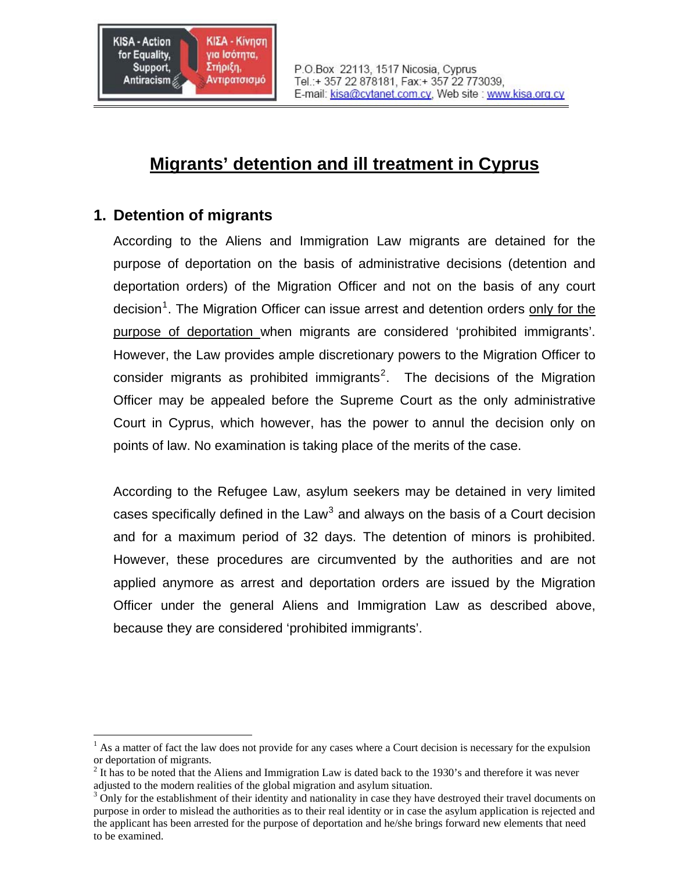

# **Migrants' detention and ill treatment in Cyprus**

# **1. Detention of migrants**

1

According to the Aliens and Immigration Law migrants are detained for the purpose of deportation on the basis of administrative decisions (detention and deportation orders) of the Migration Officer and not on the basis of any court decision<sup>[1](#page-0-0)</sup>. The Migration Officer can issue arrest and detention orders only for the purpose of deportation when migrants are considered 'prohibited immigrants'. However, the Law provides ample discretionary powers to the Migration Officer to consider migrants as prohibited immigrants<sup>[2](#page-0-1)</sup>. The decisions of the Migration Officer may be appealed before the Supreme Court as the only administrative Court in Cyprus, which however, has the power to annul the decision only on points of law. No examination is taking place of the merits of the case.

According to the Refugee Law, asylum seekers may be detained in very limited cases specifically defined in the Law<sup>[3](#page-0-2)</sup> and always on the basis of a Court decision and for a maximum period of 32 days. The detention of minors is prohibited. However, these procedures are circumvented by the authorities and are not applied anymore as arrest and deportation orders are issued by the Migration Officer under the general Aliens and Immigration Law as described above, because they are considered 'prohibited immigrants'.

<span id="page-0-0"></span> $<sup>1</sup>$  As a matter of fact the law does not provide for any cases where a Court decision is necessary for the expulsion</sup> or deportation of migrants.

<span id="page-0-1"></span> $2$  It has to be noted that the Aliens and Immigration Law is dated back to the 1930's and therefore it was never adjusted to the modern realities of the global migration and asylum situation.

<span id="page-0-2"></span> $3$  Only for the establishment of their identity and nationality in case they have destroyed their travel documents on purpose in order to mislead the authorities as to their real identity or in case the asylum application is rejected and the applicant has been arrested for the purpose of deportation and he/she brings forward new elements that need to be examined.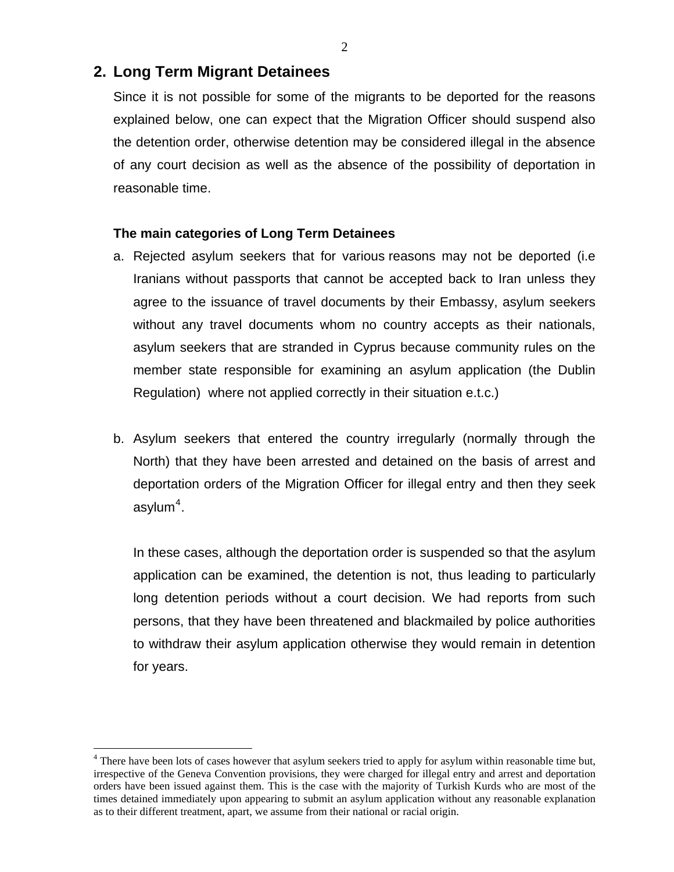# **2. Long Term Migrant Detainees**

<u>.</u>

Since it is not possible for some of the migrants to be deported for the reasons explained below, one can expect that the Migration Officer should suspend also the detention order, otherwise detention may be considered illegal in the absence of any court decision as well as the absence of the possibility of deportation in reasonable time.

#### **The main categories of Long Term Detainees**

- a. Rejected asylum seekers that for various reasons may not be deported (i.e Iranians without passports that cannot be accepted back to Iran unless they agree to the issuance of travel documents by their Embassy, asylum seekers without any travel documents whom no country accepts as their nationals, asylum seekers that are stranded in Cyprus because community rules on the member state responsible for examining an asylum application (the Dublin Regulation) where not applied correctly in their situation e.t.c.)
- b. Asylum seekers that entered the country irregularly (normally through the North) that they have been arrested and detained on the basis of arrest and deportation orders of the Migration Officer for illegal entry and then they seek asylum $^4$  $^4$ .

In these cases, although the deportation order is suspended so that the asylum application can be examined, the detention is not, thus leading to particularly long detention periods without a court decision. We had reports from such persons, that they have been threatened and blackmailed by police authorities to withdraw their asylum application otherwise they would remain in detention for years.

<span id="page-1-0"></span> $4$  There have been lots of cases however that asylum seekers tried to apply for asylum within reasonable time but, irrespective of the Geneva Convention provisions, they were charged for illegal entry and arrest and deportation orders have been issued against them. This is the case with the majority of Turkish Kurds who are most of the times detained immediately upon appearing to submit an asylum application without any reasonable explanation as to their different treatment, apart, we assume from their national or racial origin.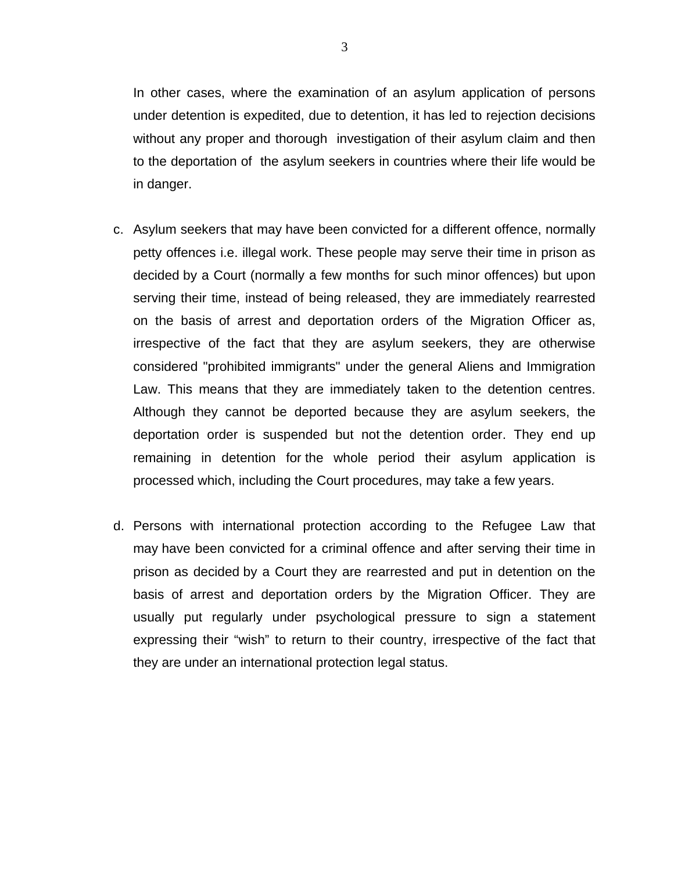In other cases, where the examination of an asylum application of persons under detention is expedited, due to detention, it has led to rejection decisions without any proper and thorough investigation of their asylum claim and then to the deportation of the asylum seekers in countries where their life would be in danger.

- c. Asylum seekers that may have been convicted for a different offence, normally petty offences i.e. illegal work. These people may serve their time in prison as decided by a Court (normally a few months for such minor offences) but upon serving their time, instead of being released, they are immediately rearrested on the basis of arrest and deportation orders of the Migration Officer as, irrespective of the fact that they are asylum seekers, they are otherwise considered "prohibited immigrants" under the general Aliens and Immigration Law. This means that they are immediately taken to the detention centres. Although they cannot be deported because they are asylum seekers, the deportation order is suspended but not the detention order. They end up remaining in detention for the whole period their asylum application is processed which, including the Court procedures, may take a few years.
- d. Persons with international protection according to the Refugee Law that may have been convicted for a criminal offence and after serving their time in prison as decided by a Court they are rearrested and put in detention on the basis of arrest and deportation orders by the Migration Officer. They are usually put regularly under psychological pressure to sign a statement expressing their "wish" to return to their country, irrespective of the fact that they are under an international protection legal status.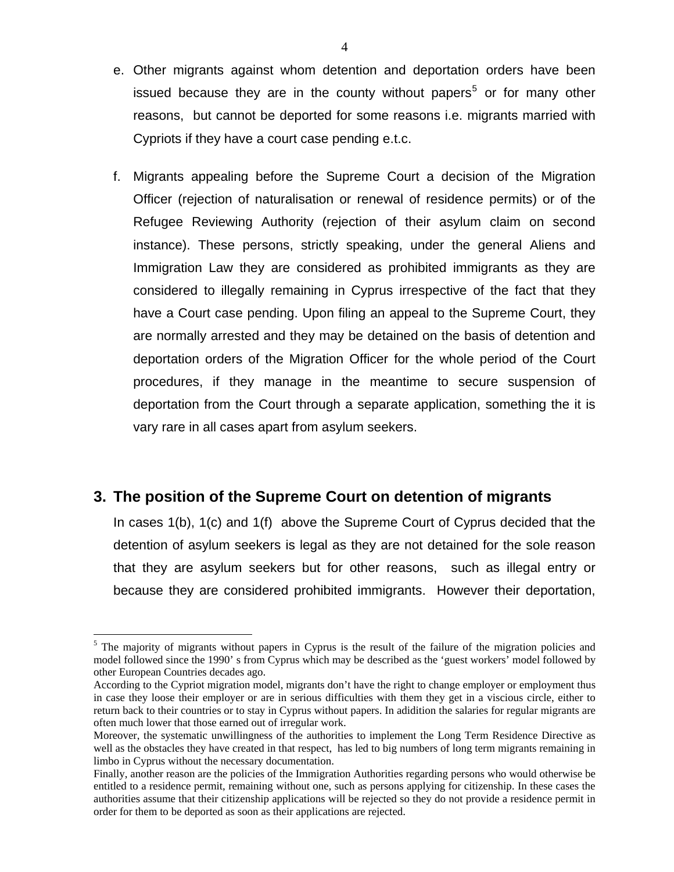- e. Other migrants against whom detention and deportation orders have been issued because they are in the county without papers<sup>[5](#page-3-0)</sup> or for many other reasons, but cannot be deported for some reasons i.e. migrants married with Cypriots if they have a court case pending e.t.c.
- f. Migrants appealing before the Supreme Court a decision of the Migration Officer (rejection of naturalisation or renewal of residence permits) or of the Refugee Reviewing Authority (rejection of their asylum claim on second instance). These persons, strictly speaking, under the general Aliens and Immigration Law they are considered as prohibited immigrants as they are considered to illegally remaining in Cyprus irrespective of the fact that they have a Court case pending. Upon filing an appeal to the Supreme Court, they are normally arrested and they may be detained on the basis of detention and deportation orders of the Migration Officer for the whole period of the Court procedures, if they manage in the meantime to secure suspension of deportation from the Court through a separate application, something the it is vary rare in all cases apart from asylum seekers.

# **3. The position of the Supreme Court on detention of migrants**

<u>.</u>

In cases 1(b), 1(c) and 1(f) above the Supreme Court of Cyprus decided that the detention of asylum seekers is legal as they are not detained for the sole reason that they are asylum seekers but for other reasons, such as illegal entry or because they are considered prohibited immigrants. However their deportation,

<span id="page-3-0"></span><sup>&</sup>lt;sup>5</sup> The majority of migrants without papers in Cyprus is the result of the failure of the migration policies and model followed since the 1990' s from Cyprus which may be described as the 'guest workers' model followed by other European Countries decades ago.

According to the Cypriot migration model, migrants don't have the right to change employer or employment thus in case they loose their employer or are in serious difficulties with them they get in a viscious circle, either to return back to their countries or to stay in Cyprus without papers. In adidition the salaries for regular migrants are often much lower that those earned out of irregular work.

Moreover, the systematic unwillingness of the authorities to implement the Long Term Residence Directive as well as the obstacles they have created in that respect, has led to big numbers of long term migrants remaining in limbo in Cyprus without the necessary documentation.

Finally, another reason are the policies of the Immigration Authorities regarding persons who would otherwise be entitled to a residence permit, remaining without one, such as persons applying for citizenship. In these cases the authorities assume that their citizenship applications will be rejected so they do not provide a residence permit in order for them to be deported as soon as their applications are rejected.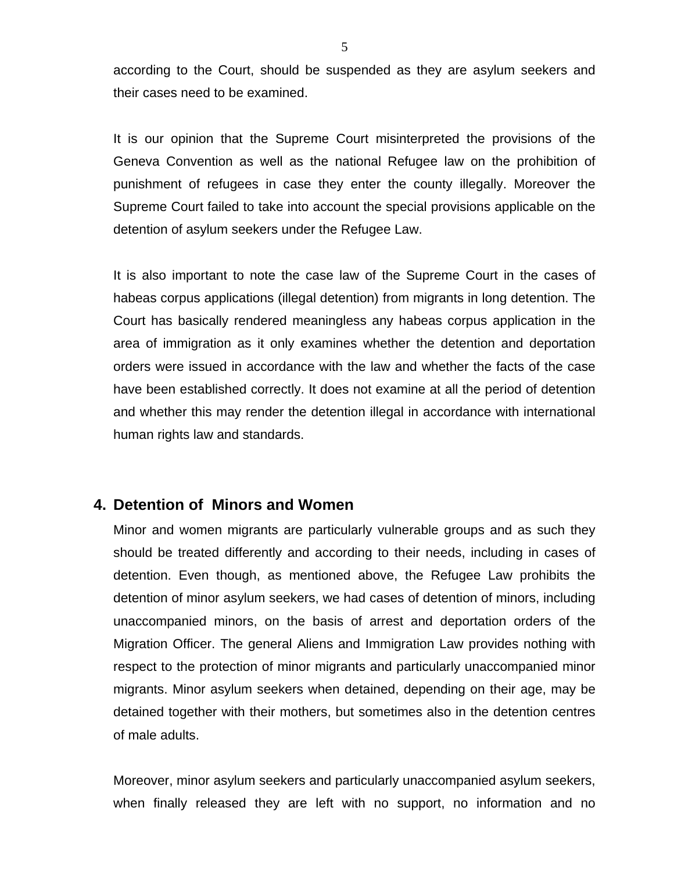according to the Court, should be suspended as they are asylum seekers and their cases need to be examined.

It is our opinion that the Supreme Court misinterpreted the provisions of the Geneva Convention as well as the national Refugee law on the prohibition of punishment of refugees in case they enter the county illegally. Moreover the Supreme Court failed to take into account the special provisions applicable on the detention of asylum seekers under the Refugee Law.

It is also important to note the case law of the Supreme Court in the cases of habeas corpus applications (illegal detention) from migrants in long detention. The Court has basically rendered meaningless any habeas corpus application in the area of immigration as it only examines whether the detention and deportation orders were issued in accordance with the law and whether the facts of the case have been established correctly. It does not examine at all the period of detention and whether this may render the detention illegal in accordance with international human rights law and standards.

## **4. Detention of Minors and Women**

Minor and women migrants are particularly vulnerable groups and as such they should be treated differently and according to their needs, including in cases of detention. Even though, as mentioned above, the Refugee Law prohibits the detention of minor asylum seekers, we had cases of detention of minors, including unaccompanied minors, on the basis of arrest and deportation orders of the Migration Officer. The general Aliens and Immigration Law provides nothing with respect to the protection of minor migrants and particularly unaccompanied minor migrants. Minor asylum seekers when detained, depending on their age, may be detained together with their mothers, but sometimes also in the detention centres of male adults.

Moreover, minor asylum seekers and particularly unaccompanied asylum seekers, when finally released they are left with no support, no information and no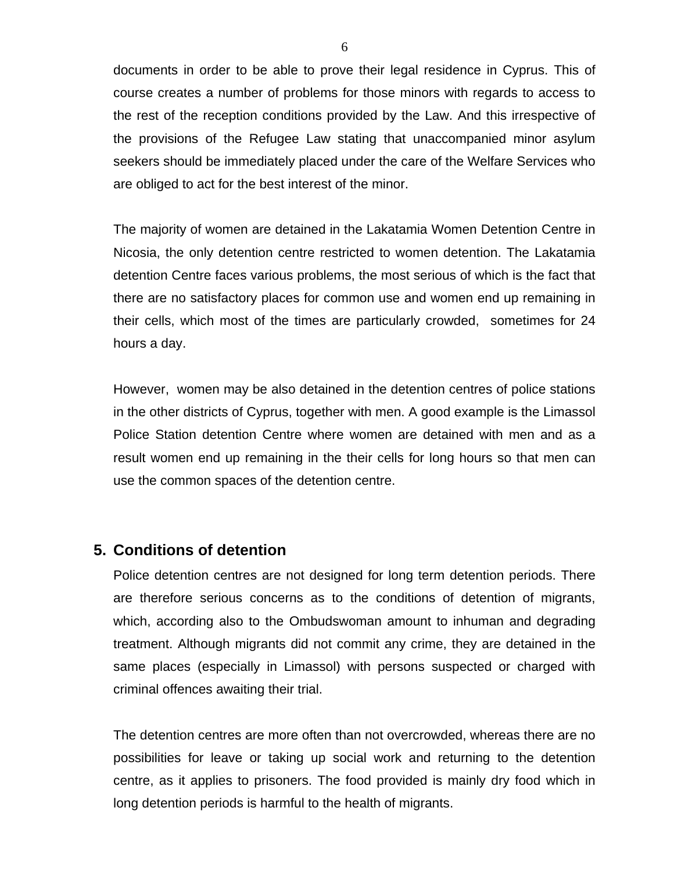documents in order to be able to prove their legal residence in Cyprus. This of course creates a number of problems for those minors with regards to access to the rest of the reception conditions provided by the Law. And this irrespective of the provisions of the Refugee Law stating that unaccompanied minor asylum seekers should be immediately placed under the care of the Welfare Services who are obliged to act for the best interest of the minor.

The majority of women are detained in the Lakatamia Women Detention Centre in Nicosia, the only detention centre restricted to women detention. The Lakatamia detention Centre faces various problems, the most serious of which is the fact that there are no satisfactory places for common use and women end up remaining in their cells, which most of the times are particularly crowded, sometimes for 24 hours a day.

However, women may be also detained in the detention centres of police stations in the other districts of Cyprus, together with men. A good example is the Limassol Police Station detention Centre where women are detained with men and as a result women end up remaining in the their cells for long hours so that men can use the common spaces of the detention centre.

## **5. Conditions of detention**

Police detention centres are not designed for long term detention periods. There are therefore serious concerns as to the conditions of detention of migrants, which, according also to the Ombudswoman amount to inhuman and degrading treatment. Although migrants did not commit any crime, they are detained in the same places (especially in Limassol) with persons suspected or charged with criminal offences awaiting their trial.

The detention centres are more often than not overcrowded, whereas there are no possibilities for leave or taking up social work and returning to the detention centre, as it applies to prisoners. The food provided is mainly dry food which in long detention periods is harmful to the health of migrants.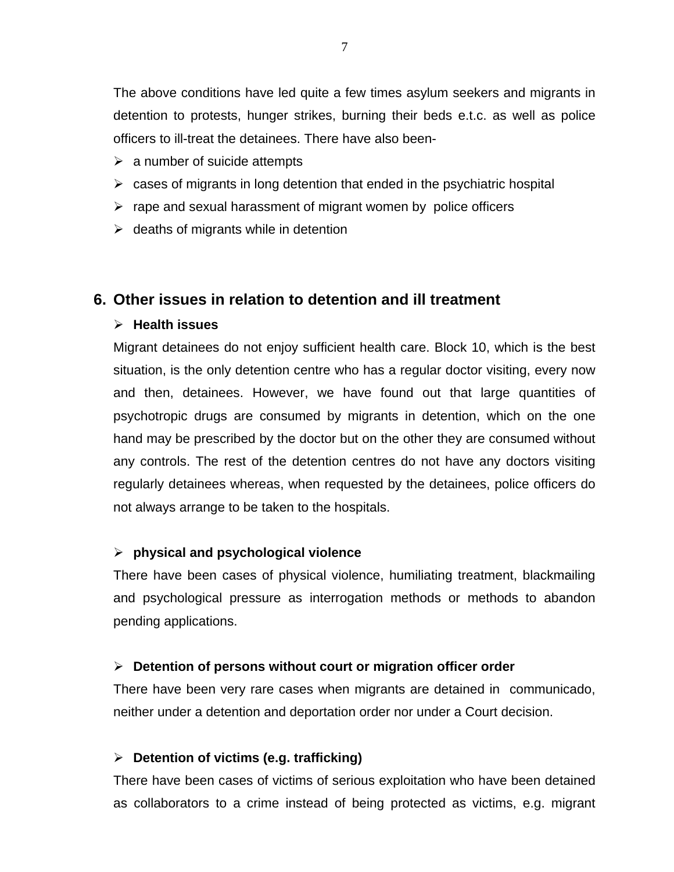The above conditions have led quite a few times asylum seekers and migrants in detention to protests, hunger strikes, burning their beds e.t.c. as well as police officers to ill-treat the detainees. There have also been-

- $\triangleright$  a number of suicide attempts
- $\triangleright$  cases of migrants in long detention that ended in the psychiatric hospital
- $\triangleright$  rape and sexual harassment of migrant women by police officers
- $\triangleright$  deaths of migrants while in detention

# **6. Other issues in relation to detention and ill treatment**

#### ¾ **Health issues**

Migrant detainees do not enjoy sufficient health care. Block 10, which is the best situation, is the only detention centre who has a regular doctor visiting, every now and then, detainees. However, we have found out that large quantities of psychotropic drugs are consumed by migrants in detention, which on the one hand may be prescribed by the doctor but on the other they are consumed without any controls. The rest of the detention centres do not have any doctors visiting regularly detainees whereas, when requested by the detainees, police officers do not always arrange to be taken to the hospitals.

#### ¾ **physical and psychological violence**

There have been cases of physical violence, humiliating treatment, blackmailing and psychological pressure as interrogation methods or methods to abandon pending applications.

#### ¾ **Detention of persons without court or migration officer order**

There have been very rare cases when migrants are detained in communicado, neither under a detention and deportation order nor under a Court decision.

#### ¾ **Detention of victims (e.g. trafficking)**

There have been cases of victims of serious exploitation who have been detained as collaborators to a crime instead of being protected as victims, e.g. migrant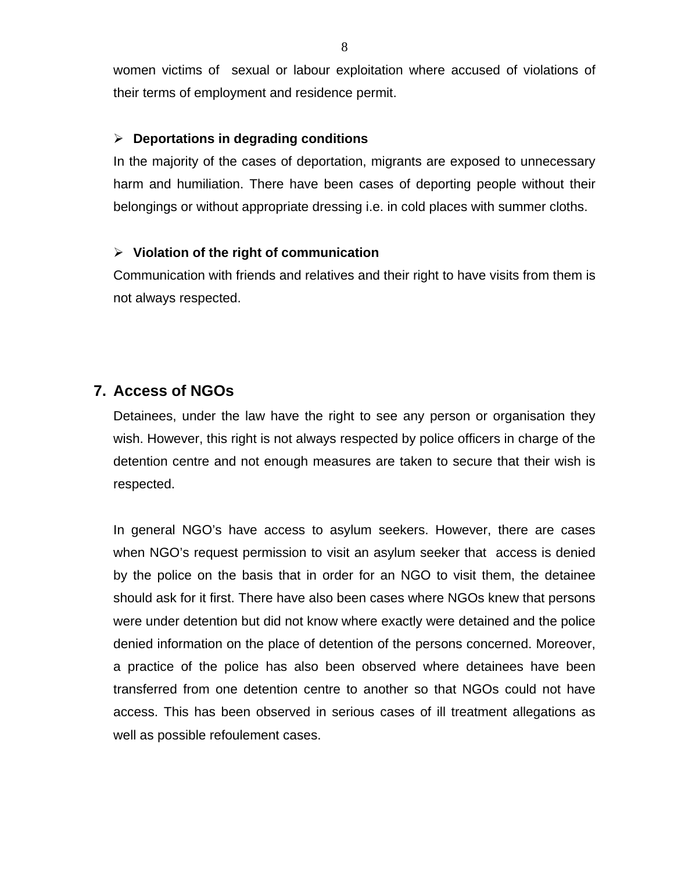women victims of sexual or labour exploitation where accused of violations of their terms of employment and residence permit.

#### ¾ **Deportations in degrading conditions**

In the majority of the cases of deportation, migrants are exposed to unnecessary harm and humiliation. There have been cases of deporting people without their belongings or without appropriate dressing i.e. in cold places with summer cloths.

#### ¾ **Violation of the right of communication**

Communication with friends and relatives and their right to have visits from them is not always respected.

# **7. Access of NGOs**

Detainees, under the law have the right to see any person or organisation they wish. However, this right is not always respected by police officers in charge of the detention centre and not enough measures are taken to secure that their wish is respected.

In general NGO's have access to asylum seekers. However, there are cases when NGO's request permission to visit an asylum seeker that access is denied by the police on the basis that in order for an NGO to visit them, the detainee should ask for it first. There have also been cases where NGOs knew that persons were under detention but did not know where exactly were detained and the police denied information on the place of detention of the persons concerned. Moreover, a practice of the police has also been observed where detainees have been transferred from one detention centre to another so that NGOs could not have access. This has been observed in serious cases of ill treatment allegations as well as possible refoulement cases.